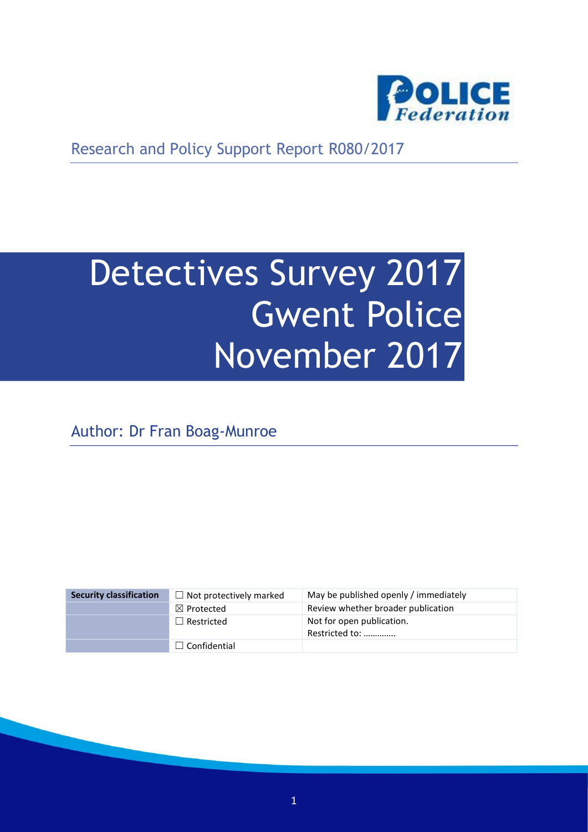

Research and Policy Support Report R080/2017

# Detectives Survey 2017 Gwent Police November 2017

Author: Dr Fran Boag-Munroe

| <b>Security classification</b> | $\Box$ Not protectively marked | May be published openly / immediately       |
|--------------------------------|--------------------------------|---------------------------------------------|
|                                | $\boxtimes$ Protected          | Review whether broader publication          |
|                                | $\Box$ Restricted              | Not for open publication.<br>Restricted to: |
|                                | $\Box$ Confidential            |                                             |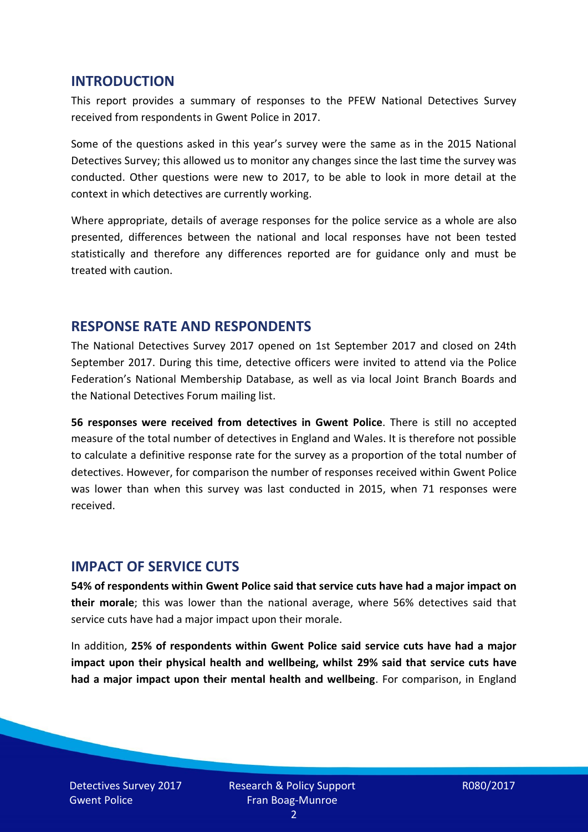#### **INTRODUCTION**

This report provides a summary of responses to the PFEW National Detectives Survey received from respondents in Gwent Police in 2017.

Some of the questions asked in this year's survey were the same as in the 2015 National Detectives Survey; this allowed us to monitor any changes since the last time the survey was conducted. Other questions were new to 2017, to be able to look in more detail at the context in which detectives are currently working.

Where appropriate, details of average responses for the police service as a whole are also presented, differences between the national and local responses have not been tested statistically and therefore any differences reported are for guidance only and must be treated with caution.

#### **RESPONSE RATE AND RESPONDENTS**

The National Detectives Survey 2017 opened on 1st September 2017 and closed on 24th September 2017. During this time, detective officers were invited to attend via the Police Federation's National Membership Database, as well as via local Joint Branch Boards and the National Detectives Forum mailing list.

**56 responses were received from detectives in Gwent Police**. There is still no accepted measure of the total number of detectives in England and Wales. It is therefore not possible to calculate a definitive response rate for the survey as a proportion of the total number of detectives. However, for comparison the number of responses received within Gwent Police was lower than when this survey was last conducted in 2015, when 71 responses were received.

## **IMPACT OF SERVICE CUTS**

**54% of respondents within Gwent Police said that service cuts have had a major impact on their morale**; this was lower than the national average, where 56% detectives said that service cuts have had a major impact upon their morale.

In addition, **25% of respondents within Gwent Police said service cuts have had a major impact upon their physical health and wellbeing, whilst 29% said that service cuts have had a major impact upon their mental health and wellbeing**. For comparison, in England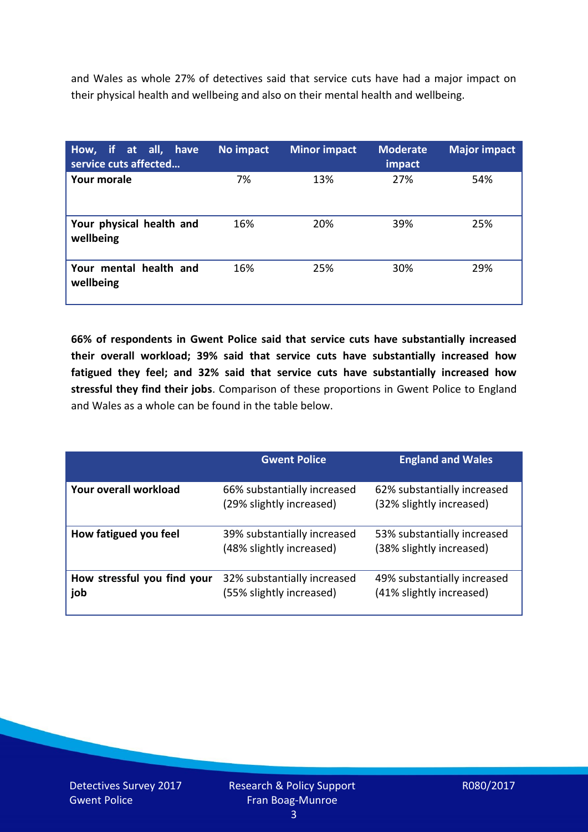and Wales as whole 27% of detectives said that service cuts have had a major impact on their physical health and wellbeing and also on their mental health and wellbeing.

| How, if at all, have<br>service cuts affected | No impact | <b>Minor impact</b> | <b>Moderate</b><br>impact | <b>Major impact</b> |
|-----------------------------------------------|-----------|---------------------|---------------------------|---------------------|
| Your morale                                   | 7%        | 13%                 | 27%                       | 54%                 |
| Your physical health and<br>wellbeing         | 16%       | 20%                 | 39%                       | 25%                 |
| Your mental health and<br>wellbeing           | 16%       | 25%                 | 30%                       | 29%                 |

**66% of respondents in Gwent Police said that service cuts have substantially increased their overall workload; 39% said that service cuts have substantially increased how fatigued they feel; and 32% said that service cuts have substantially increased how stressful they find their jobs**. Comparison of these proportions in Gwent Police to England and Wales as a whole can be found in the table below.

|                                    | <b>Gwent Police</b>                                     | <b>England and Wales</b>                                |
|------------------------------------|---------------------------------------------------------|---------------------------------------------------------|
| Your overall workload              | 66% substantially increased<br>(29% slightly increased) | 62% substantially increased<br>(32% slightly increased) |
| How fatigued you feel              | 39% substantially increased<br>(48% slightly increased) | 53% substantially increased<br>(38% slightly increased) |
| How stressful you find your<br>job | 32% substantially increased<br>(55% slightly increased) | 49% substantially increased<br>(41% slightly increased) |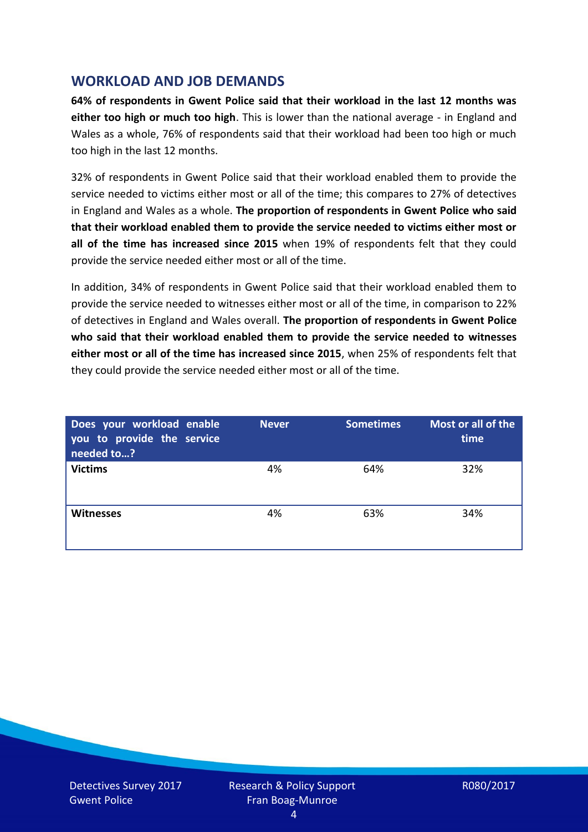## **WORKLOAD AND JOB DEMANDS**

**64% of respondents in Gwent Police said that their workload in the last 12 months was either too high or much too high**. This is lower than the national average - in England and Wales as a whole, 76% of respondents said that their workload had been too high or much too high in the last 12 months.

32% of respondents in Gwent Police said that their workload enabled them to provide the service needed to victims either most or all of the time; this compares to 27% of detectives in England and Wales as a whole. **The proportion of respondents in Gwent Police who said that their workload enabled them to provide the service needed to victims either most or all of the time has increased since 2015** when 19% of respondents felt that they could provide the service needed either most or all of the time.

In addition, 34% of respondents in Gwent Police said that their workload enabled them to provide the service needed to witnesses either most or all of the time, in comparison to 22% of detectives in England and Wales overall. **The proportion of respondents in Gwent Police who said that their workload enabled them to provide the service needed to witnesses either most or all of the time has increased since 2015**, when 25% of respondents felt that they could provide the service needed either most or all of the time.

| Does your workload enable<br>you to provide the service<br>needed to? | <b>Never</b> | <b>Sometimes</b> | Most or all of the<br>time |
|-----------------------------------------------------------------------|--------------|------------------|----------------------------|
| <b>Victims</b>                                                        | 4%           | 64%              | 32%                        |
| <b>Witnesses</b>                                                      | 4%           | 63%              | 34%                        |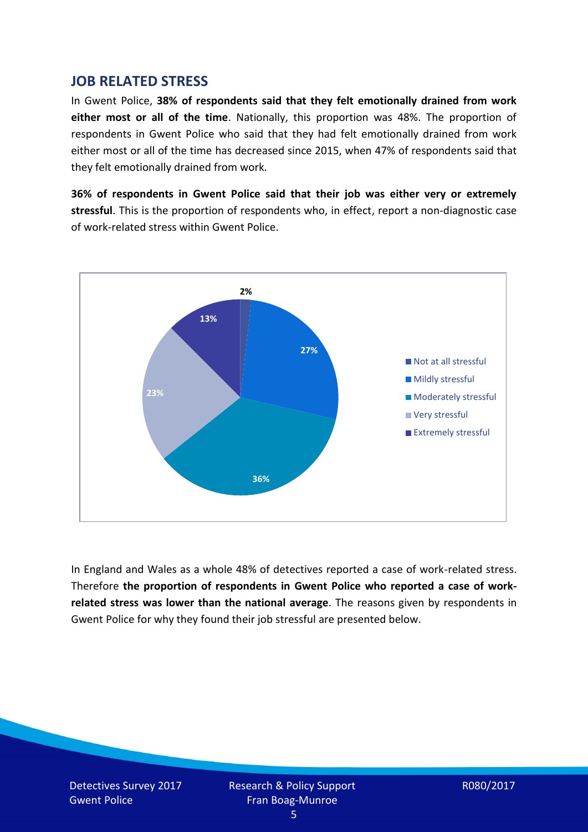#### **JOB RELATED STRESS**

In Gwent Police, **38% of respondents said that they felt emotionally drained from work either most or all of the time**. Nationally, this proportion was 48%. The proportion of respondents in Gwent Police who said that they had felt emotionally drained from work either most or all of the time has decreased since 2015, when 47% of respondents said that they felt emotionally drained from work.

**36% of respondents in Gwent Police said that their job was either very or extremely stressful**. This is the proportion of respondents who, in effect, report a non-diagnostic case of work-related stress within Gwent Police.



In England and Wales as a whole 48% of detectives reported a case of work-related stress. Therefore **the proportion of respondents in Gwent Police who reported a case of workrelated stress was lower than the national average**. The reasons given by respondents in Gwent Police for why they found their job stressful are presented below.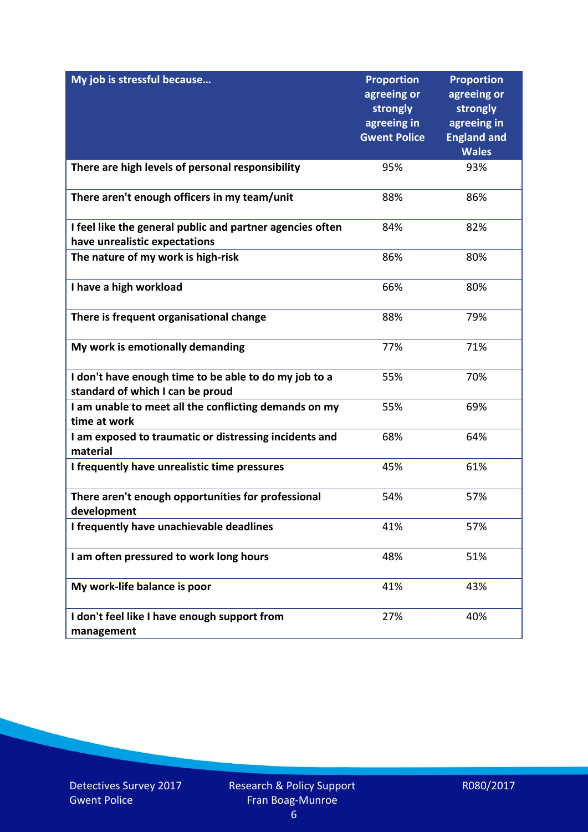| My job is stressful because                                                                | <b>Proportion</b><br>agreeing or<br>strongly<br>agreeing in<br><b>Gwent Police</b> | <b>Proportion</b><br>agreeing or<br>strongly<br>agreeing in<br><b>England and</b><br><b>Wales</b> |
|--------------------------------------------------------------------------------------------|------------------------------------------------------------------------------------|---------------------------------------------------------------------------------------------------|
| There are high levels of personal responsibility                                           | 95%                                                                                | 93%                                                                                               |
| There aren't enough officers in my team/unit                                               | 88%                                                                                | 86%                                                                                               |
| I feel like the general public and partner agencies often<br>have unrealistic expectations | 84%                                                                                | 82%                                                                                               |
| The nature of my work is high-risk                                                         | 86%                                                                                | 80%                                                                                               |
| I have a high workload                                                                     | 66%                                                                                | 80%                                                                                               |
| There is frequent organisational change                                                    | 88%                                                                                | 79%                                                                                               |
| My work is emotionally demanding                                                           | 77%                                                                                | 71%                                                                                               |
| I don't have enough time to be able to do my job to a<br>standard of which I can be proud  | 55%                                                                                | 70%                                                                                               |
| I am unable to meet all the conflicting demands on my<br>time at work                      | 55%                                                                                | 69%                                                                                               |
| I am exposed to traumatic or distressing incidents and<br>material                         | 68%                                                                                | 64%                                                                                               |
| I frequently have unrealistic time pressures                                               | 45%                                                                                | 61%                                                                                               |
| There aren't enough opportunities for professional<br>development                          | 54%                                                                                | 57%                                                                                               |
| I frequently have unachievable deadlines                                                   | 41%                                                                                | 57%                                                                                               |
| I am often pressured to work long hours                                                    | 48%                                                                                | 51%                                                                                               |
| My work-life balance is poor                                                               | 41%                                                                                | 43%                                                                                               |
| I don't feel like I have enough support from<br>management                                 | 27%                                                                                | 40%                                                                                               |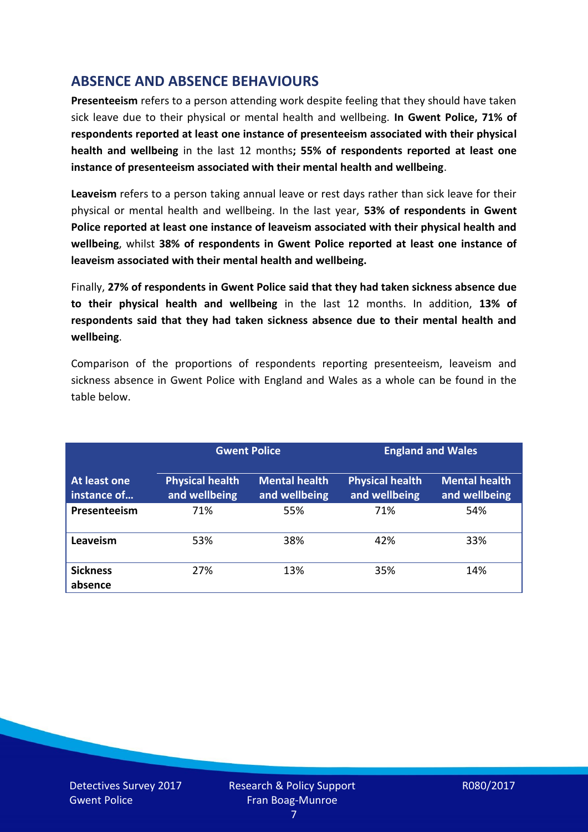## **ABSENCE AND ABSENCE BEHAVIOURS**

**Presenteeism** refers to a person attending work despite feeling that they should have taken sick leave due to their physical or mental health and wellbeing. **In Gwent Police, 71% of respondents reported at least one instance of presenteeism associated with their physical health and wellbeing** in the last 12 months**; 55% of respondents reported at least one instance of presenteeism associated with their mental health and wellbeing**.

**Leaveism** refers to a person taking annual leave or rest days rather than sick leave for their physical or mental health and wellbeing. In the last year, **53% of respondents in Gwent Police reported at least one instance of leaveism associated with their physical health and wellbeing**, whilst **38% of respondents in Gwent Police reported at least one instance of leaveism associated with their mental health and wellbeing.**

Finally, **27% of respondents in Gwent Police said that they had taken sickness absence due to their physical health and wellbeing** in the last 12 months. In addition, **13% of respondents said that they had taken sickness absence due to their mental health and wellbeing**.

Comparison of the proportions of respondents reporting presenteeism, leaveism and sickness absence in Gwent Police with England and Wales as a whole can be found in the table below.

|                             | <b>Gwent Police</b>                     |                                       | <b>England and Wales</b>                |                                       |
|-----------------------------|-----------------------------------------|---------------------------------------|-----------------------------------------|---------------------------------------|
| At least one<br>instance of | <b>Physical health</b><br>and wellbeing | <b>Mental health</b><br>and wellbeing | <b>Physical health</b><br>and wellbeing | <b>Mental health</b><br>and wellbeing |
| Presenteeism                | 71%                                     | 55%                                   | 71%                                     | 54%                                   |
| Leaveism                    | 53%                                     | 38%                                   | 42%                                     | 33%                                   |
| <b>Sickness</b><br>absence  | 27%                                     | 13%                                   | 35%                                     | 14%                                   |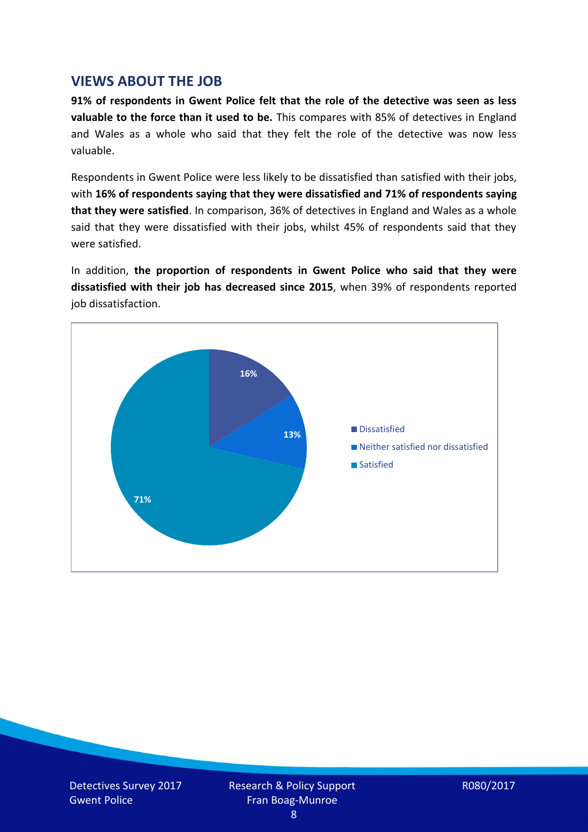### **VIEWS ABOUT THE JOB**

**91% of respondents in Gwent Police felt that the role of the detective was seen as less valuable to the force than it used to be.** This compares with 85% of detectives in England and Wales as a whole who said that they felt the role of the detective was now less valuable.

Respondents in Gwent Police were less likely to be dissatisfied than satisfied with their jobs, with **16% of respondents saying that they were dissatisfied and 71% of respondents saying that they were satisfied**. In comparison, 36% of detectives in England and Wales as a whole said that they were dissatisfied with their jobs, whilst 45% of respondents said that they were satisfied.

In addition, **the proportion of respondents in Gwent Police who said that they were dissatisfied with their job has decreased since 2015**, when 39% of respondents reported job dissatisfaction.

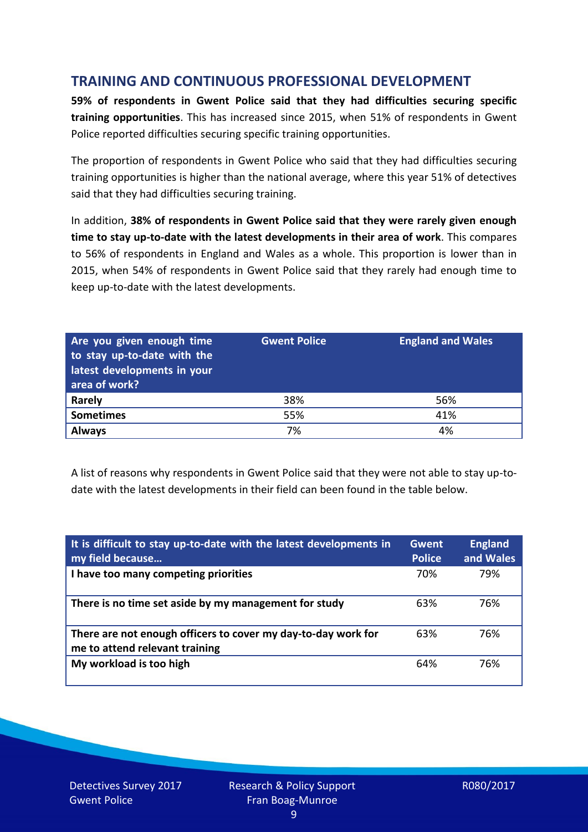## **TRAINING AND CONTINUOUS PROFESSIONAL DEVELOPMENT**

**59% of respondents in Gwent Police said that they had difficulties securing specific training opportunities**. This has increased since 2015, when 51% of respondents in Gwent Police reported difficulties securing specific training opportunities.

The proportion of respondents in Gwent Police who said that they had difficulties securing training opportunities is higher than the national average, where this year 51% of detectives said that they had difficulties securing training.

In addition, **38% of respondents in Gwent Police said that they were rarely given enough time to stay up-to-date with the latest developments in their area of work**. This compares to 56% of respondents in England and Wales as a whole. This proportion is lower than in 2015, when 54% of respondents in Gwent Police said that they rarely had enough time to keep up-to-date with the latest developments.

| Are you given enough time<br>to stay up-to-date with the<br>latest developments in your<br>area of work? | <b>Gwent Police</b> | <b>England and Wales</b> |
|----------------------------------------------------------------------------------------------------------|---------------------|--------------------------|
| Rarely                                                                                                   | 38%                 | 56%                      |
| <b>Sometimes</b>                                                                                         | 55%                 | 41%                      |
| <b>Always</b>                                                                                            | 7%                  | 4%                       |

A list of reasons why respondents in Gwent Police said that they were not able to stay up-todate with the latest developments in their field can been found in the table below.

| It is difficult to stay up-to-date with the latest developments in<br>my field because          | <b>Gwent</b><br><b>Police</b> | <b>England</b><br>and Wales |
|-------------------------------------------------------------------------------------------------|-------------------------------|-----------------------------|
| I have too many competing priorities                                                            | 70%                           | 79%                         |
| There is no time set aside by my management for study                                           | 63%                           | 76%                         |
| There are not enough officers to cover my day-to-day work for<br>me to attend relevant training | 63%                           | 76%                         |
| My workload is too high                                                                         | 64%                           | 76%                         |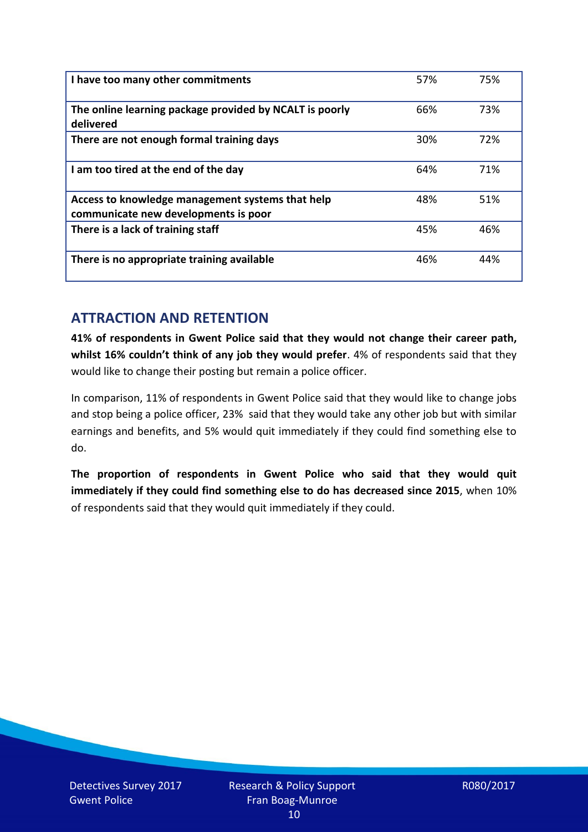| I have too many other commitments                                                        | 57% | 75% |
|------------------------------------------------------------------------------------------|-----|-----|
| The online learning package provided by NCALT is poorly<br>delivered                     | 66% | 73% |
| There are not enough formal training days                                                | 30% | 72% |
| I am too tired at the end of the day                                                     | 64% | 71% |
| Access to knowledge management systems that help<br>communicate new developments is poor | 48% | 51% |
| There is a lack of training staff                                                        | 45% | 46% |
| There is no appropriate training available                                               | 46% | 44% |

## **ATTRACTION AND RETENTION**

**41% of respondents in Gwent Police said that they would not change their career path, whilst 16% couldn't think of any job they would prefer**. 4% of respondents said that they would like to change their posting but remain a police officer.

In comparison, 11% of respondents in Gwent Police said that they would like to change jobs and stop being a police officer, 23% said that they would take any other job but with similar earnings and benefits, and 5% would quit immediately if they could find something else to do.

**The proportion of respondents in Gwent Police who said that they would quit immediately if they could find something else to do has decreased since 2015**, when 10% of respondents said that they would quit immediately if they could.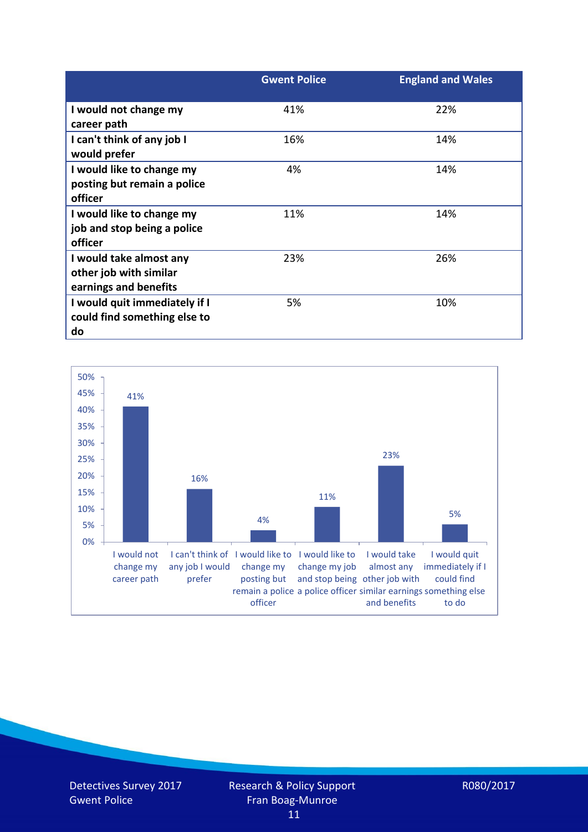|                                                                            | <b>Gwent Police</b> | <b>England and Wales</b> |
|----------------------------------------------------------------------------|---------------------|--------------------------|
| I would not change my<br>career path                                       | 41%                 | 22%                      |
| I can't think of any job I<br>would prefer                                 | 16%                 | 14%                      |
| I would like to change my<br>posting but remain a police<br>officer        | 4%                  | 14%                      |
| I would like to change my<br>job and stop being a police<br>officer        | 11%                 | 14%                      |
| I would take almost any<br>other job with similar<br>earnings and benefits | 23%                 | 26%                      |
| I would quit immediately if I<br>could find something else to<br>do        | 5%                  | 10%                      |